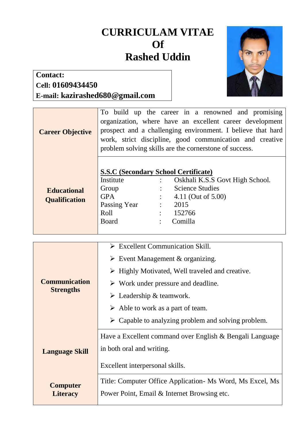## **CURRICULAM VITAE Of Rashed Uddin**



## **Contact: Cell: 01609434450 E-mail: kazirashed680@gmail.com**

| <b>Career Objective</b>                    |                                                                                                                         |                                        | To build up the career in a renowned and promising<br>organization, where have an excellent career development<br>prospect and a challenging environment. I believe that hard<br>work, strict discipline, good communication and creative<br>problem solving skills are the cornerstone of success. |
|--------------------------------------------|-------------------------------------------------------------------------------------------------------------------------|----------------------------------------|-----------------------------------------------------------------------------------------------------------------------------------------------------------------------------------------------------------------------------------------------------------------------------------------------------|
| <b>Educational</b><br><b>Qualification</b> | <b>S.S.C (Secondary School Certificate)</b><br>Institute<br>Group<br><b>GPA</b><br>Passing Year<br>Roll<br><b>Board</b> | $\ddot{\phantom{a}}$<br>$\ddot{\cdot}$ | Oskhali K.S.S Govt High School.<br><b>Science Studies</b><br>4.11 (Out of 5.00)<br>$\therefore$ 2015<br>152766<br>Comilla                                                                                                                                                                           |

| <b>Communication</b><br><b>Strengths</b> | $\triangleright$ Excellent Communication Skill.                    |  |  |  |
|------------------------------------------|--------------------------------------------------------------------|--|--|--|
|                                          | $\triangleright$ Event Management & organizing.                    |  |  |  |
|                                          | $\triangleright$ Highly Motivated, Well traveled and creative.     |  |  |  |
|                                          | $\triangleright$ Work under pressure and deadline.                 |  |  |  |
|                                          | $\triangleright$ Leadership & teamwork.                            |  |  |  |
|                                          | $\triangleright$ Able to work as a part of team.                   |  |  |  |
|                                          | $\triangleright$ Capable to analyzing problem and solving problem. |  |  |  |
| <b>Language Skill</b>                    | Have a Excellent command over English & Bengali Language           |  |  |  |
|                                          | in both oral and writing.                                          |  |  |  |
|                                          | Excellent interpersonal skills.                                    |  |  |  |
| <b>Computer</b><br><b>Literacy</b>       | Title: Computer Office Application - Ms Word, Ms Excel, Ms         |  |  |  |
|                                          | Power Point, Email & Internet Browsing etc.                        |  |  |  |
|                                          |                                                                    |  |  |  |